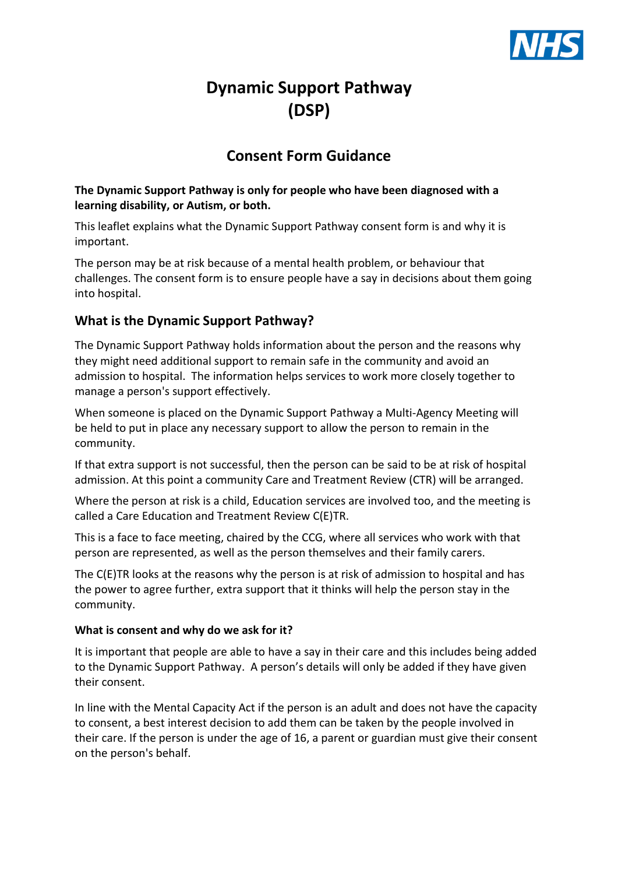

# **Dynamic Support Pathway (DSP)**

# **Consent Form Guidance**

#### **The Dynamic Support Pathway is only for people who have been diagnosed with a learning disability, or Autism, or both.**

This leaflet explains what the Dynamic Support Pathway consent form is and why it is important.

The person may be at risk because of a mental health problem, or behaviour that challenges. The consent form is to ensure people have a say in decisions about them going into hospital.

# **What is the Dynamic Support Pathway?**

The Dynamic Support Pathway holds information about the person and the reasons why they might need additional support to remain safe in the community and avoid an admission to hospital. The information helps services to work more closely together to manage a person's support effectively.

When someone is placed on the Dynamic Support Pathway a Multi-Agency Meeting will be held to put in place any necessary support to allow the person to remain in the community.

If that extra support is not successful, then the person can be said to be at risk of hospital admission. At this point a community Care and Treatment Review (CTR) will be arranged.

Where the person at risk is a child, Education services are involved too, and the meeting is called a Care Education and Treatment Review C(E)TR.

This is a face to face meeting, chaired by the CCG, where all services who work with that person are represented, as well as the person themselves and their family carers.

The C(E)TR looks at the reasons why the person is at risk of admission to hospital and has the power to agree further, extra support that it thinks will help the person stay in the community.

#### **What is consent and why do we ask for it?**

It is important that people are able to have a say in their care and this includes being added to the Dynamic Support Pathway. A person's details will only be added if they have given their consent.

In line with the Mental Capacity Act if the person is an adult and does not have the capacity to consent, a best interest decision to add them can be taken by the people involved in their care. If the person is under the age of 16, a parent or guardian must give their consent on the person's behalf.